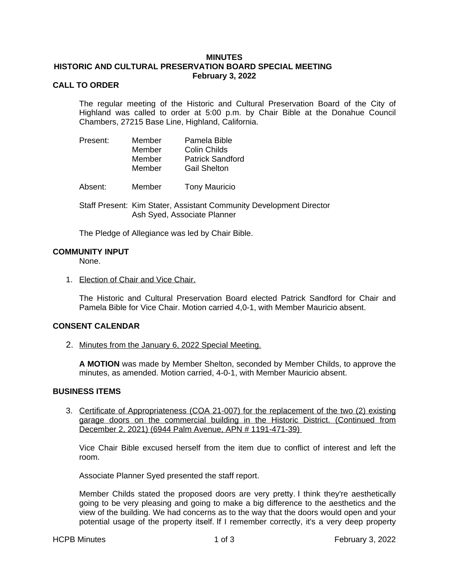## **MINUTES**

### **HISTORIC AND CULTURAL PRESERVATION BOARD SPECIAL MEETING February 3, 2022**

# **CALL TO ORDER**

The regular meeting of the Historic and Cultural Preservation Board of the City of Highland was called to order at 5:00 p.m. by Chair Bible at the Donahue Council Chambers, 27215 Base Line, Highland, California.

| Present: | Member<br>Member | Pamela Bible<br>Colin Childs                   |
|----------|------------------|------------------------------------------------|
|          | Member<br>Member | <b>Patrick Sandford</b><br><b>Gail Shelton</b> |

Absent: Member Tony Mauricio

Staff Present: Kim Stater, Assistant Community Development Director Ash Syed, Associate Planner

The Pledge of Allegiance was led by Chair Bible.

#### **COMMUNITY INPUT**

None.

1. Election of Chair and Vice Chair.

The Historic and Cultural Preservation Board elected Patrick Sandford for Chair and Pamela Bible for Vice Chair. Motion carried 4,0-1, with Member Mauricio absent.

## **CONSENT CALENDAR**

2. Minutes from the January 6, 2022 Special Meeting.

**A MOTION** was made by Member Shelton, seconded by Member Childs, to approve the minutes, as amended. Motion carried, 4-0-1, with Member Mauricio absent.

### **BUSINESS ITEMS**

3. Certificate of Appropriateness (COA 21-007) for the replacement of the two (2) existing garage doors on the commercial building in the Historic District. (Continued from December 2, 2021) (6944 Palm Avenue, APN # 1191-471-39)

Vice Chair Bible excused herself from the item due to conflict of interest and left the room.

Associate Planner Syed presented the staff report.

Member Childs stated the proposed doors are very pretty. I think they're aesthetically going to be very pleasing and going to make a big difference to the aesthetics and the view of the building. We had concerns as to the way that the doors would open and your potential usage of the property itself. If I remember correctly, it's a very deep property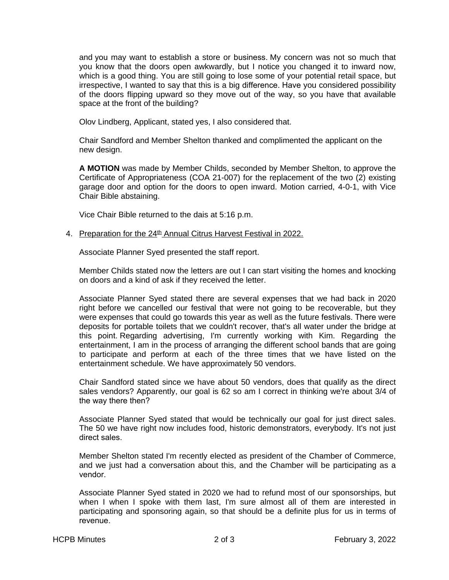and you may want to establish a store or business. My concern was not so much that you know that the doors open awkwardly, but I notice you changed it to inward now, which is a good thing. You are still going to lose some of your potential retail space, but irrespective, I wanted to say that this is a big difference. Have you considered possibility of the doors flipping upward so they move out of the way, so you have that available space at the front of the building?

Olov Lindberg, Applicant, stated yes, I also considered that.

Chair Sandford and Member Shelton thanked and complimented the applicant on the new design.

**A MOTION** was made by Member Childs, seconded by Member Shelton, to approve the Certificate of Appropriateness (COA 21-007) for the replacement of the two (2) existing garage door and option for the doors to open inward. Motion carried, 4-0-1, with Vice Chair Bible abstaining.

Vice Chair Bible returned to the dais at 5:16 p.m.

# 4. Preparation for the 24<sup>th</sup> Annual Citrus Harvest Festival in 2022.

Associate Planner Syed presented the staff report.

Member Childs stated now the letters are out I can start visiting the homes and knocking on doors and a kind of ask if they received the letter.

Associate Planner Syed stated there are several expenses that we had back in 2020 right before we cancelled our festival that were not going to be recoverable, but they were expenses that could go towards this year as well as the future festivals. There were deposits for portable toilets that we couldn't recover, that's all water under the bridge at this point. Regarding advertising, I'm currently working with Kim. Regarding the entertainment, I am in the process of arranging the different school bands that are going to participate and perform at each of the three times that we have listed on the entertainment schedule. We have approximately 50 vendors.

Chair Sandford stated since we have about 50 vendors, does that qualify as the direct sales vendors? Apparently, our goal is 62 so am I correct in thinking we're about 3/4 of the way there then?

Associate Planner Syed stated that would be technically our goal for just direct sales. The 50 we have right now includes food, historic demonstrators, everybody. It's not just direct sales.

Member Shelton stated I'm recently elected as president of the Chamber of Commerce, and we just had a conversation about this, and the Chamber will be participating as a vendor.

Associate Planner Syed stated in 2020 we had to refund most of our sponsorships, but when I when I spoke with them last, I'm sure almost all of them are interested in participating and sponsoring again, so that should be a definite plus for us in terms of revenue.